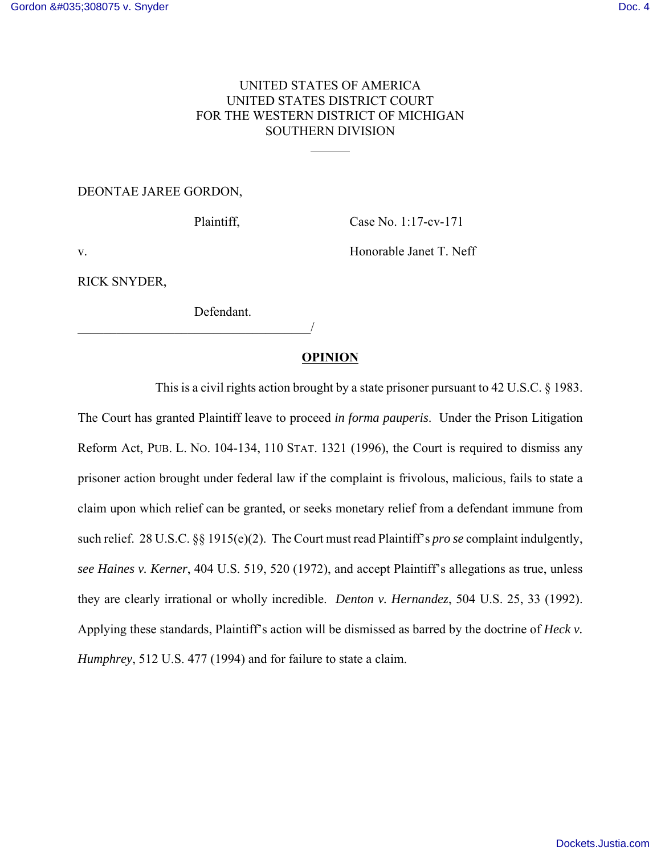# UNITED STATES OF AMERICA UNITED STATES DISTRICT COURT FOR THE WESTERN DISTRICT OF MICHIGAN SOUTHERN DIVISION

 $\overline{a}$ 

### DEONTAE JAREE GORDON,

Plaintiff, Case No. 1:17-cv-171

v. Solution of the Honorable Janet T. Neff

RICK SNYDER,

Defendant.

 $\overline{\phantom{a}}$ 

## **OPINION**

This is a civil rights action brought by a state prisoner pursuant to 42 U.S.C. § 1983. The Court has granted Plaintiff leave to proceed *in forma pauperis*. Under the Prison Litigation Reform Act, PUB. L. NO. 104-134, 110 STAT. 1321 (1996), the Court is required to dismiss any prisoner action brought under federal law if the complaint is frivolous, malicious, fails to state a claim upon which relief can be granted, or seeks monetary relief from a defendant immune from such relief. 28 U.S.C. §§ 1915(e)(2). The Court must read Plaintiff's *pro se* complaint indulgently, *see Haines v. Kerner*, 404 U.S. 519, 520 (1972), and accept Plaintiff's allegations as true, unless they are clearly irrational or wholly incredible. *Denton v. Hernandez*, 504 U.S. 25, 33 (1992). Applying these standards, Plaintiff's action will be dismissed as barred by the doctrine of *Heck v. Humphrey*, 512 U.S. 477 (1994) and for failure to state a claim.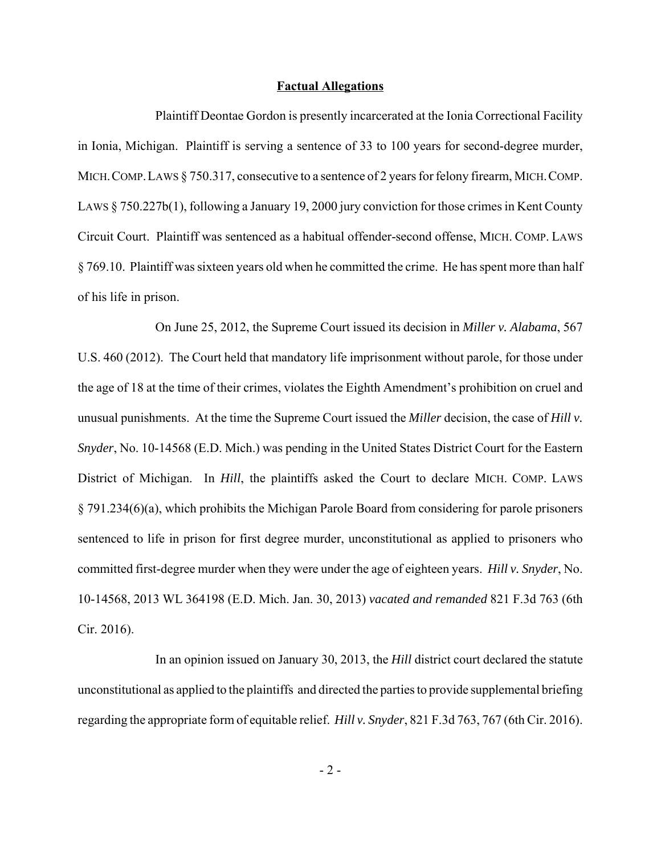#### **Factual Allegations**

Plaintiff Deontae Gordon is presently incarcerated at the Ionia Correctional Facility in Ionia, Michigan. Plaintiff is serving a sentence of 33 to 100 years for second-degree murder, MICH. COMP. LAWS § 750.317, consecutive to a sentence of 2 years for felony firearm, MICH. COMP. LAWS § 750.227b(1), following a January 19, 2000 jury conviction for those crimes in Kent County Circuit Court. Plaintiff was sentenced as a habitual offender-second offense, MICH. COMP. LAWS § 769.10. Plaintiff was sixteen years old when he committed the crime. He has spent more than half of his life in prison.

On June 25, 2012, the Supreme Court issued its decision in *Miller v. Alabama*, 567 U.S. 460 (2012). The Court held that mandatory life imprisonment without parole, for those under the age of 18 at the time of their crimes, violates the Eighth Amendment's prohibition on cruel and unusual punishments. At the time the Supreme Court issued the *Miller* decision, the case of *Hill v. Snyder*, No. 10-14568 (E.D. Mich.) was pending in the United States District Court for the Eastern District of Michigan. In *Hill*, the plaintiffs asked the Court to declare MICH. COMP. LAWS § 791.234(6)(a), which prohibits the Michigan Parole Board from considering for parole prisoners sentenced to life in prison for first degree murder, unconstitutional as applied to prisoners who committed first-degree murder when they were under the age of eighteen years. *Hill v. Snyder*, No. 10-14568, 2013 WL 364198 (E.D. Mich. Jan. 30, 2013) *vacated and remanded* 821 F.3d 763 (6th Cir. 2016).

In an opinion issued on January 30, 2013, the *Hill* district court declared the statute unconstitutional as applied to the plaintiffs and directed the parties to provide supplemental briefing regarding the appropriate form of equitable relief. *Hill v. Snyder*, 821 F.3d 763, 767 (6th Cir. 2016).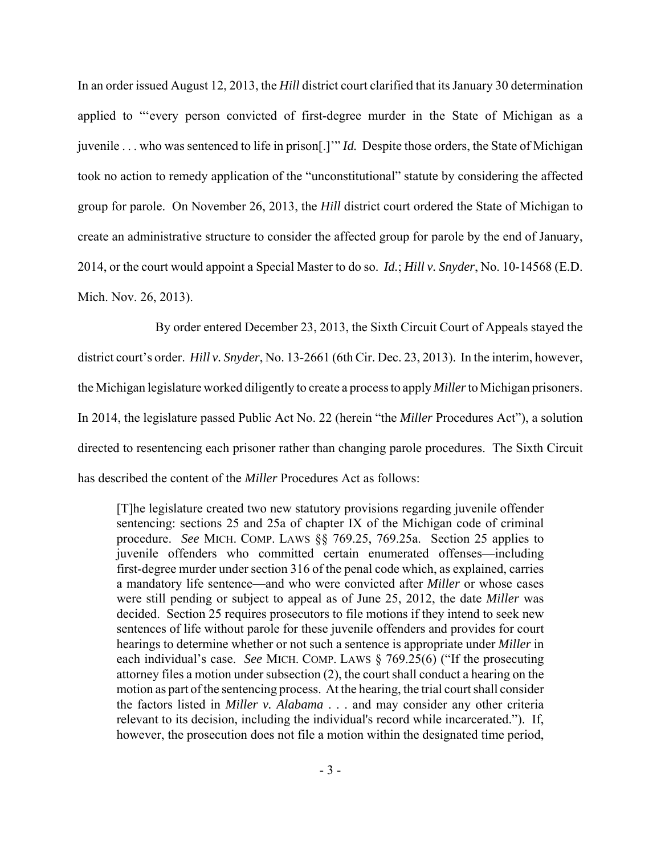In an order issued August 12, 2013, the *Hill* district court clarified that its January 30 determination applied to "'every person convicted of first-degree murder in the State of Michigan as a juvenile . . . who was sentenced to life in prison[.]'" *Id.* Despite those orders, the State of Michigan took no action to remedy application of the "unconstitutional" statute by considering the affected group for parole. On November 26, 2013, the *Hill* district court ordered the State of Michigan to create an administrative structure to consider the affected group for parole by the end of January, 2014, or the court would appoint a Special Master to do so. *Id.*; *Hill v. Snyder*, No. 10-14568 (E.D. Mich. Nov. 26, 2013).

By order entered December 23, 2013, the Sixth Circuit Court of Appeals stayed the district court's order. *Hill v. Snyder*, No. 13-2661 (6th Cir. Dec. 23, 2013). In the interim, however, the Michigan legislature worked diligently to create a process to apply *Miller* to Michigan prisoners. In 2014, the legislature passed Public Act No. 22 (herein "the *Miller* Procedures Act"), a solution directed to resentencing each prisoner rather than changing parole procedures. The Sixth Circuit has described the content of the *Miller* Procedures Act as follows:

[T]he legislature created two new statutory provisions regarding juvenile offender sentencing: sections 25 and 25a of chapter IX of the Michigan code of criminal procedure. *See* MICH. COMP. LAWS §§ 769.25, 769.25a. Section 25 applies to juvenile offenders who committed certain enumerated offenses—including first-degree murder under section 316 of the penal code which, as explained, carries a mandatory life sentence—and who were convicted after *Miller* or whose cases were still pending or subject to appeal as of June 25, 2012, the date *Miller* was decided. Section 25 requires prosecutors to file motions if they intend to seek new sentences of life without parole for these juvenile offenders and provides for court hearings to determine whether or not such a sentence is appropriate under *Miller* in each individual's case. *See* MICH. COMP. LAWS § 769.25(6) ("If the prosecuting attorney files a motion under subsection (2), the court shall conduct a hearing on the motion as part of the sentencing process. At the hearing, the trial court shall consider the factors listed in *Miller v. Alabama* . . . and may consider any other criteria relevant to its decision, including the individual's record while incarcerated."). If, however, the prosecution does not file a motion within the designated time period,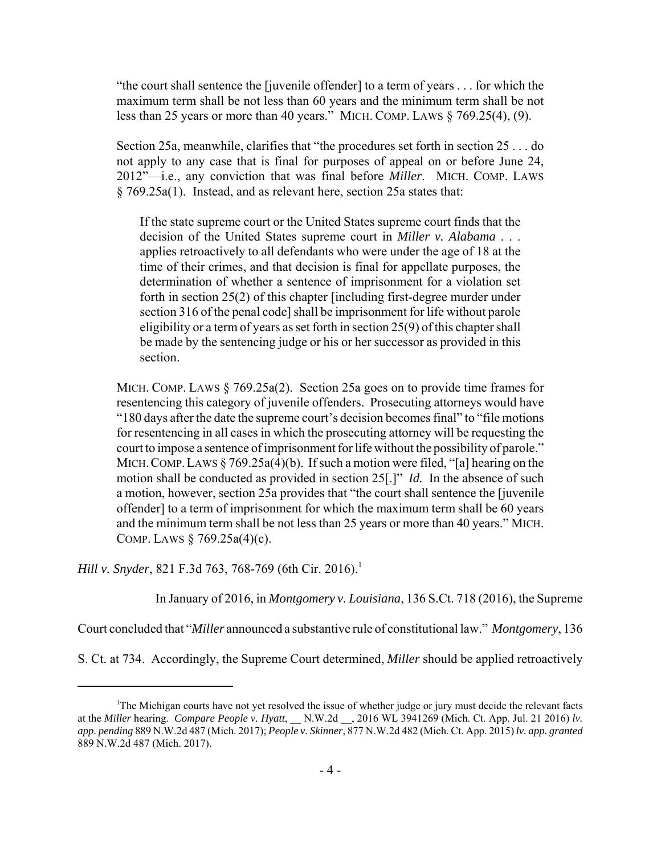"the court shall sentence the [juvenile offender] to a term of years . . . for which the maximum term shall be not less than 60 years and the minimum term shall be not less than 25 years or more than 40 years." MICH. COMP. LAWS § 769.25(4), (9).

Section 25a, meanwhile, clarifies that "the procedures set forth in section 25 . . . do not apply to any case that is final for purposes of appeal on or before June 24, 2012"—i.e., any conviction that was final before *Miller*. MICH. COMP. LAWS § 769.25a(1). Instead, and as relevant here, section 25a states that:

If the state supreme court or the United States supreme court finds that the decision of the United States supreme court in *Miller v. Alabama* . . . applies retroactively to all defendants who were under the age of 18 at the time of their crimes, and that decision is final for appellate purposes, the determination of whether a sentence of imprisonment for a violation set forth in section 25(2) of this chapter [including first-degree murder under section 316 of the penal code] shall be imprisonment for life without parole eligibility or a term of years as set forth in section 25(9) of this chapter shall be made by the sentencing judge or his or her successor as provided in this section.

MICH. COMP. LAWS § 769.25a(2). Section 25a goes on to provide time frames for resentencing this category of juvenile offenders. Prosecuting attorneys would have "180 days after the date the supreme court's decision becomes final" to "file motions for resentencing in all cases in which the prosecuting attorney will be requesting the court to impose a sentence of imprisonment for life without the possibility of parole." MICH. COMP. LAWS  $\S 769.25a(4)(b)$ . If such a motion were filed, "[a] hearing on the motion shall be conducted as provided in section 25[.]" *Id.* In the absence of such a motion, however, section 25a provides that "the court shall sentence the [juvenile offender] to a term of imprisonment for which the maximum term shall be 60 years and the minimum term shall be not less than 25 years or more than 40 years." MICH. COMP. LAWS § 769.25a(4)(c).

*Hill v. Snyder*, 821 F.3d 763, 768-769 (6th Cir. 2016).<sup>1</sup>

In January of 2016, in *Montgomery v. Louisiana*, 136 S.Ct. 718 (2016), the Supreme

Court concluded that "*Miller* announced a substantive rule of constitutional law." *Montgomery*, 136

S. Ct. at 734. Accordingly, the Supreme Court determined, *Miller* should be applied retroactively

<sup>&</sup>lt;sup>1</sup>The Michigan courts have not yet resolved the issue of whether judge or jury must decide the relevant facts at the *Miller* hearing. *Compare People v. Hyatt*, \_\_ N.W.2d \_\_, 2016 WL 3941269 (Mich. Ct. App. Jul. 21 2016) *lv. app. pending* 889 N.W.2d 487 (Mich. 2017); *People v. Skinner*, 877 N.W.2d 482 (Mich. Ct. App. 2015) *lv. app. granted* 889 N.W.2d 487 (Mich. 2017).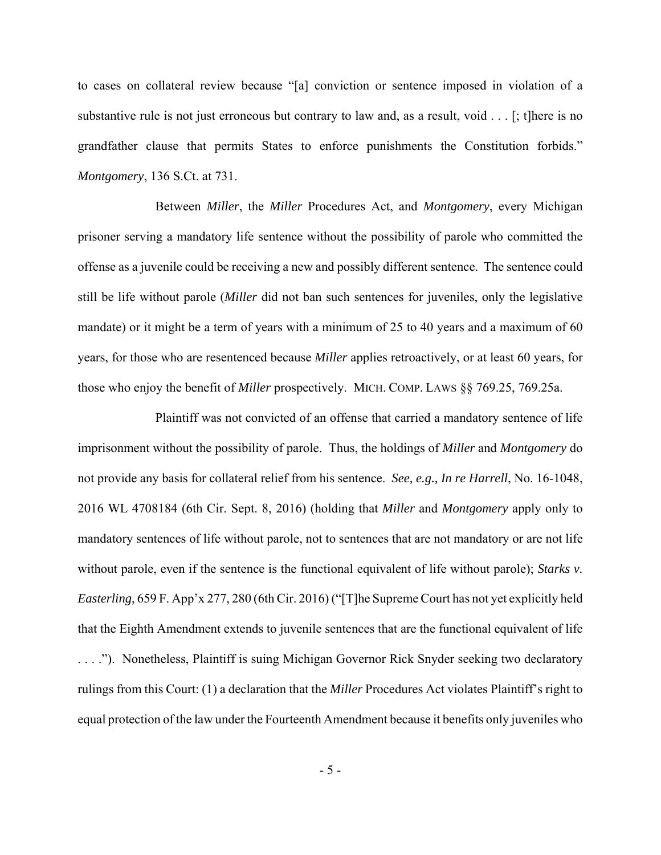to cases on collateral review because "[a] conviction or sentence imposed in violation of a substantive rule is not just erroneous but contrary to law and, as a result, void . . . [; t]here is no grandfather clause that permits States to enforce punishments the Constitution forbids." *Montgomery*, 136 S.Ct. at 731.

Between *Miller*, the *Miller* Procedures Act, and *Montgomery*, every Michigan prisoner serving a mandatory life sentence without the possibility of parole who committed the offense as a juvenile could be receiving a new and possibly different sentence. The sentence could still be life without parole (*Miller* did not ban such sentences for juveniles, only the legislative mandate) or it might be a term of years with a minimum of 25 to 40 years and a maximum of 60 years, for those who are resentenced because *Miller* applies retroactively, or at least 60 years, for those who enjoy the benefit of *Miller* prospectively. MICH. COMP. LAWS §§ 769.25, 769.25a.

Plaintiff was not convicted of an offense that carried a mandatory sentence of life imprisonment without the possibility of parole. Thus, the holdings of *Miller* and *Montgomery* do not provide any basis for collateral relief from his sentence. *See, e.g., In re Harrell*, No. 16-1048, 2016 WL 4708184 (6th Cir. Sept. 8, 2016) (holding that *Miller* and *Montgomery* apply only to mandatory sentences of life without parole, not to sentences that are not mandatory or are not life without parole, even if the sentence is the functional equivalent of life without parole); *Starks v. Easterling*, 659 F. App'x 277, 280 (6th Cir. 2016) ("[T]he Supreme Court has not yet explicitly held that the Eighth Amendment extends to juvenile sentences that are the functional equivalent of life . . . ."). Nonetheless, Plaintiff is suing Michigan Governor Rick Snyder seeking two declaratory rulings from this Court: (1) a declaration that the *Miller* Procedures Act violates Plaintiff's right to equal protection of the law under the Fourteenth Amendment because it benefits only juveniles who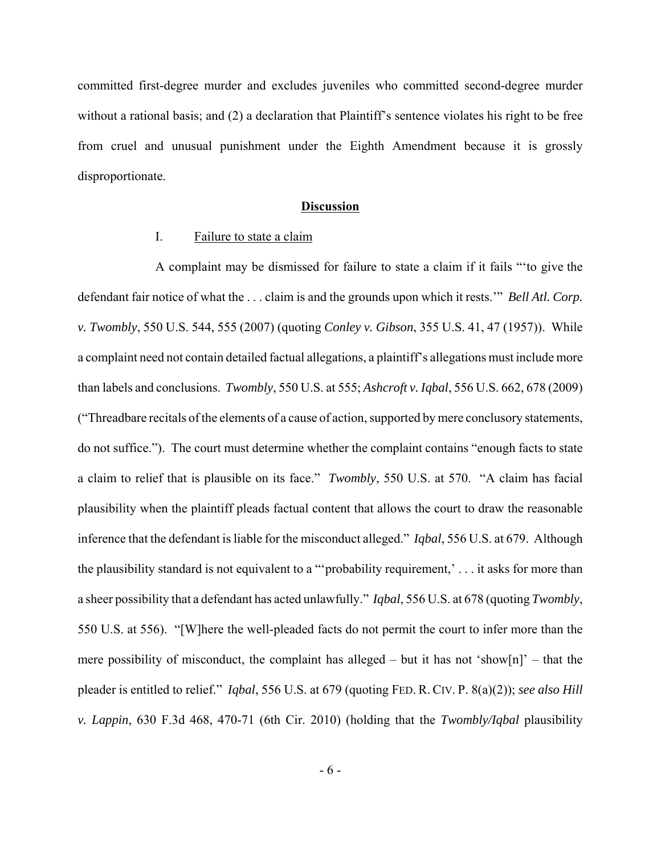committed first-degree murder and excludes juveniles who committed second-degree murder without a rational basis; and (2) a declaration that Plaintiff's sentence violates his right to be free from cruel and unusual punishment under the Eighth Amendment because it is grossly disproportionate.

### **Discussion**

## I. Failure to state a claim

 A complaint may be dismissed for failure to state a claim if it fails "'to give the defendant fair notice of what the . . . claim is and the grounds upon which it rests.'" *Bell Atl. Corp. v. Twombly*, 550 U.S. 544, 555 (2007) (quoting *Conley v. Gibson*, 355 U.S. 41, 47 (1957)). While a complaint need not contain detailed factual allegations, a plaintiff's allegations must include more than labels and conclusions. *Twombly*, 550 U.S. at 555; *Ashcroft v. Iqbal*, 556 U.S. 662, 678 (2009) ("Threadbare recitals of the elements of a cause of action, supported by mere conclusory statements, do not suffice."). The court must determine whether the complaint contains "enough facts to state a claim to relief that is plausible on its face." *Twombly*, 550 U.S. at 570. "A claim has facial plausibility when the plaintiff pleads factual content that allows the court to draw the reasonable inference that the defendant is liable for the misconduct alleged." *Iqbal*, 556 U.S. at 679. Although the plausibility standard is not equivalent to a "'probability requirement,' . . . it asks for more than a sheer possibility that a defendant has acted unlawfully." *Iqbal*, 556 U.S. at 678 (quoting *Twombly*, 550 U.S. at 556). "[W]here the well-pleaded facts do not permit the court to infer more than the mere possibility of misconduct, the complaint has alleged – but it has not 'show[n]' – that the pleader is entitled to relief." *Iqbal*, 556 U.S. at 679 (quoting FED. R. CIV. P. 8(a)(2)); *see also Hill v. Lappin*, 630 F.3d 468, 470-71 (6th Cir. 2010) (holding that the *Twombly/Iqbal* plausibility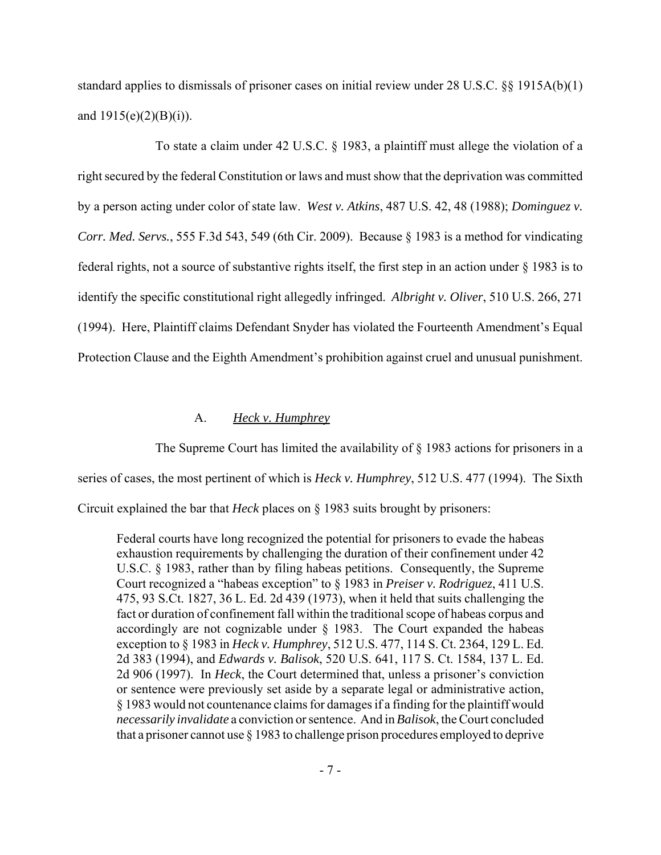standard applies to dismissals of prisoner cases on initial review under 28 U.S.C. §§ 1915A(b)(1) and  $1915(e)(2)(B)(i)$ .

To state a claim under 42 U.S.C. § 1983, a plaintiff must allege the violation of a right secured by the federal Constitution or laws and must show that the deprivation was committed by a person acting under color of state law. *West v. Atkins*, 487 U.S. 42, 48 (1988); *Dominguez v. Corr. Med. Servs.*, 555 F.3d 543, 549 (6th Cir. 2009). Because § 1983 is a method for vindicating federal rights, not a source of substantive rights itself, the first step in an action under § 1983 is to identify the specific constitutional right allegedly infringed. *Albright v. Oliver*, 510 U.S. 266, 271 (1994). Here, Plaintiff claims Defendant Snyder has violated the Fourteenth Amendment's Equal Protection Clause and the Eighth Amendment's prohibition against cruel and unusual punishment.

# A. *Heck v. Humphrey*

The Supreme Court has limited the availability of § 1983 actions for prisoners in a series of cases, the most pertinent of which is *Heck v. Humphrey*, 512 U.S. 477 (1994). The Sixth Circuit explained the bar that *Heck* places on § 1983 suits brought by prisoners:

Federal courts have long recognized the potential for prisoners to evade the habeas exhaustion requirements by challenging the duration of their confinement under 42 U.S.C. § 1983, rather than by filing habeas petitions. Consequently, the Supreme Court recognized a "habeas exception" to § 1983 in *Preiser v. Rodriguez*, 411 U.S. 475, 93 S.Ct. 1827, 36 L. Ed. 2d 439 (1973), when it held that suits challenging the fact or duration of confinement fall within the traditional scope of habeas corpus and accordingly are not cognizable under  $\S$  1983. The Court expanded the habeas exception to § 1983 in *Heck v. Humphrey*, 512 U.S. 477, 114 S. Ct. 2364, 129 L. Ed. 2d 383 (1994), and *Edwards v. Balisok*, 520 U.S. 641, 117 S. Ct. 1584, 137 L. Ed. 2d 906 (1997). In *Heck*, the Court determined that, unless a prisoner's conviction or sentence were previously set aside by a separate legal or administrative action, § 1983 would not countenance claims for damages if a finding for the plaintiff would *necessarily invalidate* a conviction or sentence. And in *Balisok*, the Court concluded that a prisoner cannot use § 1983 to challenge prison procedures employed to deprive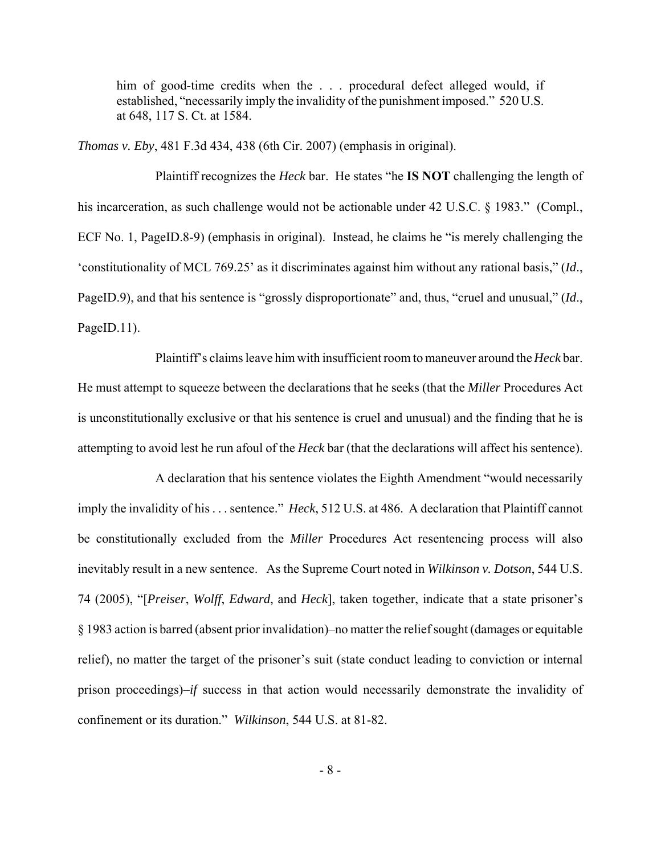him of good-time credits when the . . . procedural defect alleged would, if established, "necessarily imply the invalidity of the punishment imposed." 520 U.S. at 648, 117 S. Ct. at 1584.

*Thomas v. Eby*, 481 F.3d 434, 438 (6th Cir. 2007) (emphasis in original).

Plaintiff recognizes the *Heck* bar. He states "he **IS NOT** challenging the length of his incarceration, as such challenge would not be actionable under 42 U.S.C. § 1983." (Compl., ECF No. 1, PageID.8-9) (emphasis in original). Instead, he claims he "is merely challenging the 'constitutionality of MCL 769.25' as it discriminates against him without any rational basis," (*Id*., PageID.9), and that his sentence is "grossly disproportionate" and, thus, "cruel and unusual," (*Id.*, PageID.11).

Plaintiff's claims leave him with insufficient room to maneuver around the *Heck* bar. He must attempt to squeeze between the declarations that he seeks (that the *Miller* Procedures Act is unconstitutionally exclusive or that his sentence is cruel and unusual) and the finding that he is attempting to avoid lest he run afoul of the *Heck* bar (that the declarations will affect his sentence).

A declaration that his sentence violates the Eighth Amendment "would necessarily imply the invalidity of his . . . sentence." *Heck*, 512 U.S. at 486. A declaration that Plaintiff cannot be constitutionally excluded from the *Miller* Procedures Act resentencing process will also inevitably result in a new sentence. As the Supreme Court noted in *Wilkinson v. Dotson*, 544 U.S. 74 (2005), "[*Preiser*, *Wolff*, *Edward*, and *Heck*], taken together, indicate that a state prisoner's § 1983 action is barred (absent prior invalidation)–no matter the relief sought (damages or equitable relief), no matter the target of the prisoner's suit (state conduct leading to conviction or internal prison proceedings)–*if* success in that action would necessarily demonstrate the invalidity of confinement or its duration." *Wilkinson*, 544 U.S. at 81-82.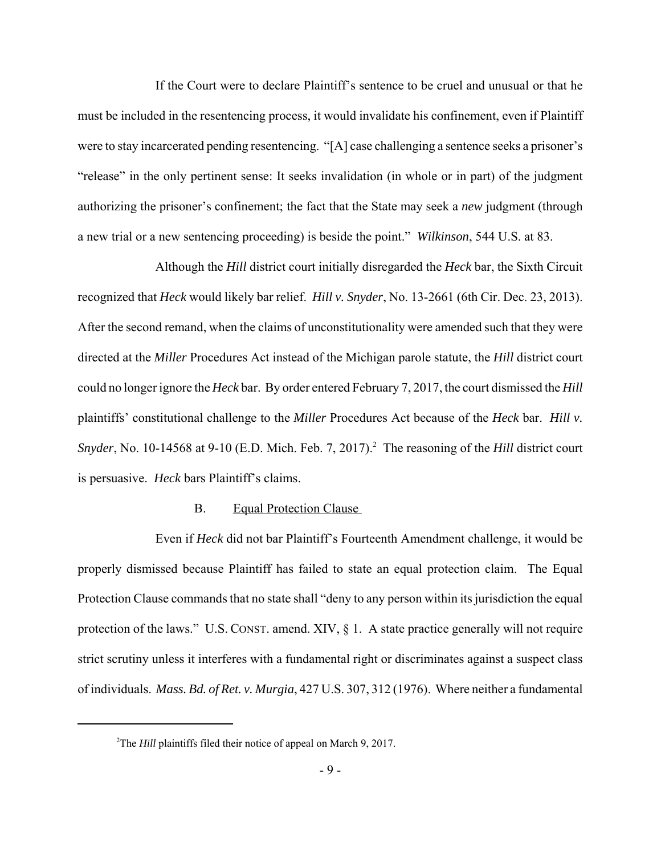If the Court were to declare Plaintiff's sentence to be cruel and unusual or that he must be included in the resentencing process, it would invalidate his confinement, even if Plaintiff were to stay incarcerated pending resentencing. "[A] case challenging a sentence seeks a prisoner's "release" in the only pertinent sense: It seeks invalidation (in whole or in part) of the judgment authorizing the prisoner's confinement; the fact that the State may seek a *new* judgment (through a new trial or a new sentencing proceeding) is beside the point." *Wilkinson*, 544 U.S. at 83.

Although the *Hill* district court initially disregarded the *Heck* bar, the Sixth Circuit recognized that *Heck* would likely bar relief. *Hill v. Snyder*, No. 13-2661 (6th Cir. Dec. 23, 2013). After the second remand, when the claims of unconstitutionality were amended such that they were directed at the *Miller* Procedures Act instead of the Michigan parole statute, the *Hill* district court could no longer ignore the *Heck* bar. By order entered February 7, 2017, the court dismissed the *Hill* plaintiffs' constitutional challenge to the *Miller* Procedures Act because of the *Heck* bar. *Hill v.* Snyder, No. 10-14568 at 9-10 (E.D. Mich. Feb. 7, 2017).<sup>2</sup> The reasoning of the *Hill* district court is persuasive. *Heck* bars Plaintiff's claims.

## B. Equal Protection Clause

Even if *Heck* did not bar Plaintiff's Fourteenth Amendment challenge, it would be properly dismissed because Plaintiff has failed to state an equal protection claim. The Equal Protection Clause commands that no state shall "deny to any person within its jurisdiction the equal protection of the laws." U.S. CONST. amend. XIV, § 1. A state practice generally will not require strict scrutiny unless it interferes with a fundamental right or discriminates against a suspect class of individuals. *Mass. Bd. of Ret. v. Murgia*, 427 U.S. 307, 312 (1976). Where neither a fundamental

<sup>&</sup>lt;sup>2</sup>The *Hill* plaintiffs filed their notice of appeal on March 9, 2017.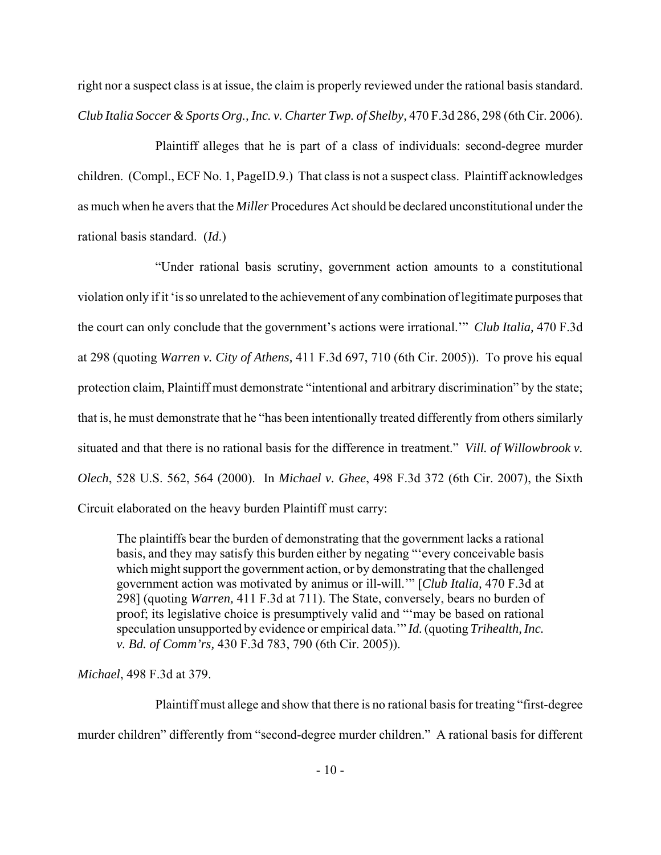right nor a suspect class is at issue, the claim is properly reviewed under the rational basis standard. *Club Italia Soccer & Sports Org., Inc. v. Charter Twp. of Shelby,* 470 F.3d 286, 298 (6th Cir. 2006).

Plaintiff alleges that he is part of a class of individuals: second-degree murder children. (Compl., ECF No. 1, PageID.9.) That class is not a suspect class. Plaintiff acknowledges as much when he avers that the *Miller* Procedures Act should be declared unconstitutional under the rational basis standard. (*Id*.)

"Under rational basis scrutiny, government action amounts to a constitutional violation only if it 'is so unrelated to the achievement of any combination of legitimate purposes that the court can only conclude that the government's actions were irrational.'" *Club Italia,* 470 F.3d at 298 (quoting *Warren v. City of Athens,* 411 F.3d 697, 710 (6th Cir. 2005)). To prove his equal protection claim, Plaintiff must demonstrate "intentional and arbitrary discrimination" by the state; that is, he must demonstrate that he "has been intentionally treated differently from others similarly situated and that there is no rational basis for the difference in treatment." *Vill. of Willowbrook v. Olech*, 528 U.S. 562, 564 (2000). In *Michael v. Ghee*, 498 F.3d 372 (6th Cir. 2007), the Sixth Circuit elaborated on the heavy burden Plaintiff must carry:

The plaintiffs bear the burden of demonstrating that the government lacks a rational basis, and they may satisfy this burden either by negating "'every conceivable basis which might support the government action, or by demonstrating that the challenged government action was motivated by animus or ill-will.'" [*Club Italia,* 470 F.3d at 298] (quoting *Warren,* 411 F.3d at 711). The State, conversely, bears no burden of proof; its legislative choice is presumptively valid and "'may be based on rational speculation unsupported by evidence or empirical data.'" *Id.* (quoting *Trihealth, Inc. v. Bd. of Comm'rs,* 430 F.3d 783, 790 (6th Cir. 2005)).

*Michael*, 498 F.3d at 379.

Plaintiff must allege and show that there is no rational basis for treating "first-degree murder children" differently from "second-degree murder children." A rational basis for different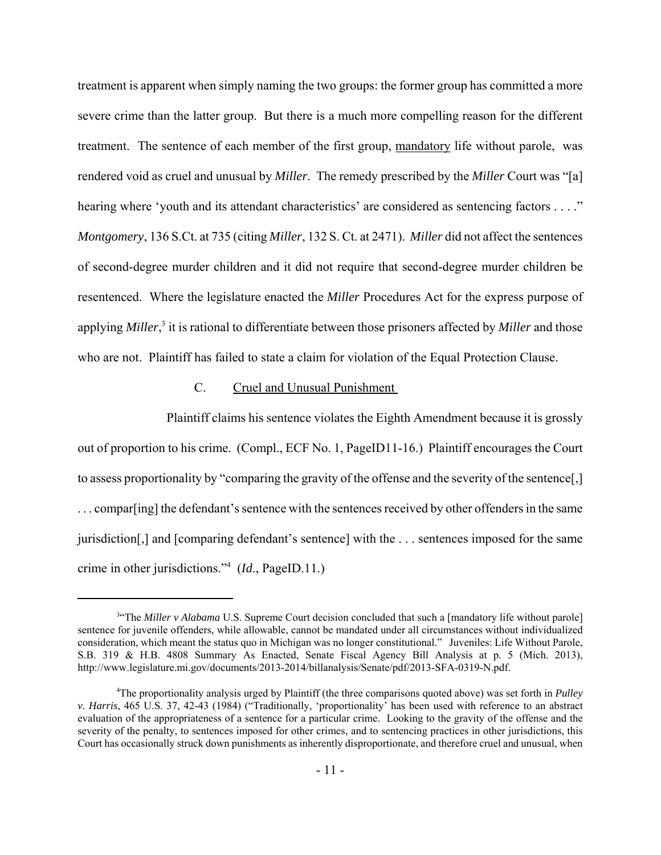treatment is apparent when simply naming the two groups: the former group has committed a more severe crime than the latter group. But there is a much more compelling reason for the different treatment. The sentence of each member of the first group, mandatory life without parole, was rendered void as cruel and unusual by *Miller*. The remedy prescribed by the *Miller* Court was "[a] hearing where 'youth and its attendant characteristics' are considered as sentencing factors . . . ." *Montgomery*, 136 S.Ct. at 735 (citing *Miller*, 132 S. Ct. at 2471). *Miller* did not affect the sentences of second-degree murder children and it did not require that second-degree murder children be resentenced. Where the legislature enacted the *Miller* Procedures Act for the express purpose of applying *Miller*,<sup>3</sup> it is rational to differentiate between those prisoners affected by *Miller* and those who are not. Plaintiff has failed to state a claim for violation of the Equal Protection Clause.

## C. Cruel and Unusual Punishment

 Plaintiff claims his sentence violates the Eighth Amendment because it is grossly out of proportion to his crime. (Compl., ECF No. 1, PageID11-16.) Plaintiff encourages the Court to assess proportionality by "comparing the gravity of the offense and the severity of the sentence[,] . . . compar[ing] the defendant's sentence with the sentences received by other offenders in the same jurisdiction[,] and [comparing defendant's sentence] with the . . . sentences imposed for the same crime in other jurisdictions."<sup>4</sup> (*Id*., PageID.11.)

<sup>&</sup>lt;sup>3«</sup>The *Miller v Alabama* U.S. Supreme Court decision concluded that such a [mandatory life without parole] sentence for juvenile offenders, while allowable, cannot be mandated under all circumstances without individualized consideration, which meant the status quo in Michigan was no longer constitutional." Juveniles: Life Without Parole, S.B. 319 & H.B. 4808 Summary As Enacted, Senate Fiscal Agency Bill Analysis at p. 5 (Mich. 2013), http://www.legislature.mi.gov/documents/2013-2014/billanalysis/Senate/pdf/2013-SFA-0319-N.pdf.

<sup>4</sup>The proportionality analysis urged by Plaintiff (the three comparisons quoted above) was set forth in *Pulley v. Harris*, 465 U.S. 37, 42-43 (1984) ("Traditionally, 'proportionality' has been used with reference to an abstract evaluation of the appropriateness of a sentence for a particular crime. Looking to the gravity of the offense and the severity of the penalty, to sentences imposed for other crimes, and to sentencing practices in other jurisdictions, this Court has occasionally struck down punishments as inherently disproportionate, and therefore cruel and unusual, when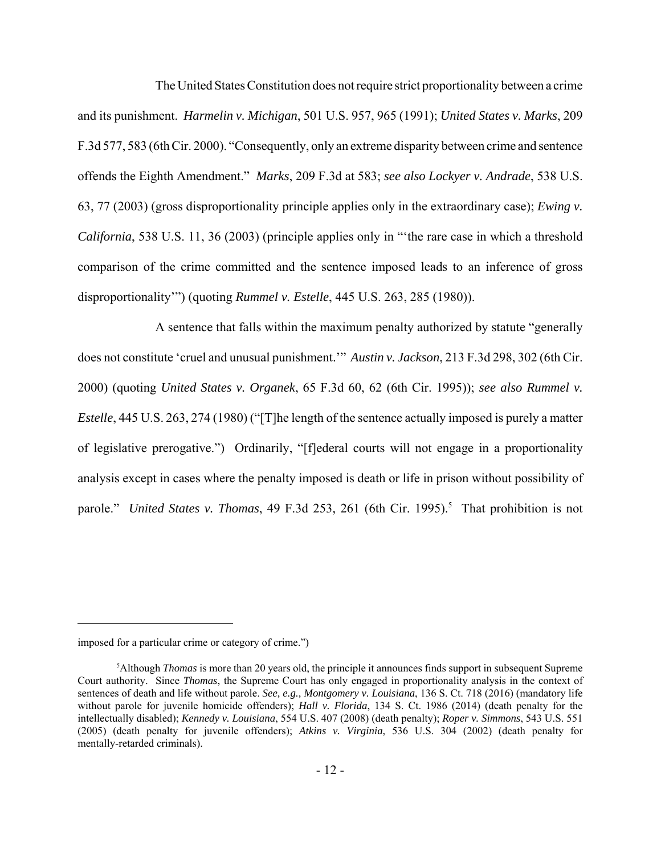The United States Constitution does not require strict proportionality between a crime and its punishment. *Harmelin v. Michigan*, 501 U.S. 957, 965 (1991); *United States v. Marks*, 209 F.3d 577, 583 (6th Cir. 2000). "Consequently, only an extreme disparity between crime and sentence offends the Eighth Amendment." *Marks*, 209 F.3d at 583; *see also Lockyer v. Andrade*, 538 U.S. 63, 77 (2003) (gross disproportionality principle applies only in the extraordinary case); *Ewing v. California*, 538 U.S. 11, 36 (2003) (principle applies only in "'the rare case in which a threshold comparison of the crime committed and the sentence imposed leads to an inference of gross disproportionality'") (quoting *Rummel v. Estelle*, 445 U.S. 263, 285 (1980)).

A sentence that falls within the maximum penalty authorized by statute "generally does not constitute 'cruel and unusual punishment.'" *Austin v. Jackson*, 213 F.3d 298, 302 (6th Cir. 2000) (quoting *United States v. Organek*, 65 F.3d 60, 62 (6th Cir. 1995)); *see also Rummel v. Estelle*, 445 U.S. 263, 274 (1980) ("[T]he length of the sentence actually imposed is purely a matter of legislative prerogative.") Ordinarily, "[f]ederal courts will not engage in a proportionality analysis except in cases where the penalty imposed is death or life in prison without possibility of parole." *United States v. Thomas*, 49 F.3d 253, 261 (6th Cir. 1995).<sup>5</sup> That prohibition is not

imposed for a particular crime or category of crime.")

<sup>5</sup>Although *Thomas* is more than 20 years old, the principle it announces finds support in subsequent Supreme Court authority. Since *Thomas*, the Supreme Court has only engaged in proportionality analysis in the context of sentences of death and life without parole. *See, e.g., Montgomery v. Louisiana*, 136 S. Ct. 718 (2016) (mandatory life without parole for juvenile homicide offenders); *Hall v. Florida*, 134 S. Ct. 1986 (2014) (death penalty for the intellectually disabled); *Kennedy v. Louisiana*, 554 U.S. 407 (2008) (death penalty); *Roper v. Simmons*, 543 U.S. 551 (2005) (death penalty for juvenile offenders); *Atkins v. Virginia*, 536 U.S. 304 (2002) (death penalty for mentally-retarded criminals).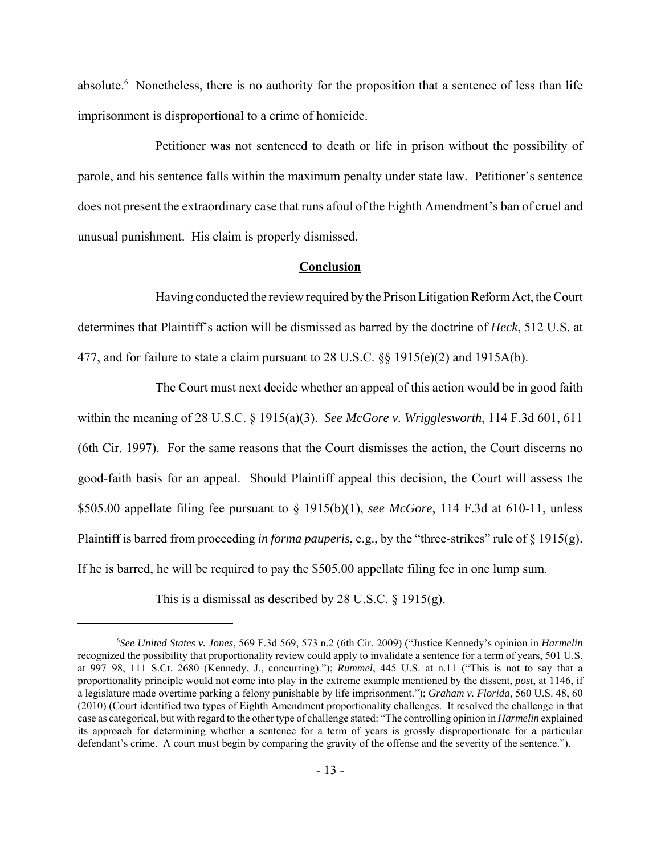absolute.<sup>6</sup> Nonetheless, there is no authority for the proposition that a sentence of less than life imprisonment is disproportional to a crime of homicide.

Petitioner was not sentenced to death or life in prison without the possibility of parole, and his sentence falls within the maximum penalty under state law. Petitioner's sentence does not present the extraordinary case that runs afoul of the Eighth Amendment's ban of cruel and unusual punishment. His claim is properly dismissed.

#### **Conclusion**

Having conducted the review required by the Prison Litigation Reform Act, the Court determines that Plaintiff's action will be dismissed as barred by the doctrine of *Heck*, 512 U.S. at 477, and for failure to state a claim pursuant to 28 U.S.C. §§ 1915(e)(2) and 1915A(b).

The Court must next decide whether an appeal of this action would be in good faith within the meaning of 28 U.S.C. § 1915(a)(3). *See McGore v. Wrigglesworth*, 114 F.3d 601, 611 (6th Cir. 1997). For the same reasons that the Court dismisses the action, the Court discerns no good-faith basis for an appeal. Should Plaintiff appeal this decision, the Court will assess the \$505.00 appellate filing fee pursuant to § 1915(b)(1), *see McGore*, 114 F.3d at 610-11, unless Plaintiff is barred from proceeding *in forma pauperis*, e.g., by the "three-strikes" rule of § 1915(g). If he is barred, he will be required to pay the \$505.00 appellate filing fee in one lump sum.

This is a dismissal as described by 28 U.S.C. § 1915(g).

<sup>6</sup> *See United States v. Jones*, 569 F.3d 569, 573 n.2 (6th Cir. 2009) ("Justice Kennedy's opinion in *Harmelin* recognized the possibility that proportionality review could apply to invalidate a sentence for a term of years, 501 U.S. at 997–98, 111 S.Ct. 2680 (Kennedy, J., concurring)."); *Rummel*, 445 U.S. at n.11 ("This is not to say that a proportionality principle would not come into play in the extreme example mentioned by the dissent, *post*, at 1146, if a legislature made overtime parking a felony punishable by life imprisonment."); *Graham v. Florida*, 560 U.S. 48, 60 (2010) (Court identified two types of Eighth Amendment proportionality challenges. It resolved the challenge in that case as categorical, but with regard to the other type of challenge stated: "The controlling opinion in *Harmelin* explained its approach for determining whether a sentence for a term of years is grossly disproportionate for a particular defendant's crime. A court must begin by comparing the gravity of the offense and the severity of the sentence.").